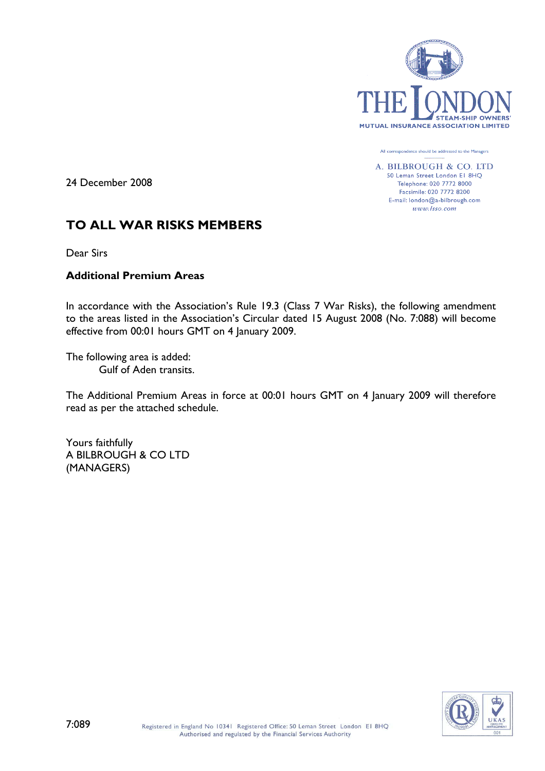

All correspondence should be addressed to the Managers

A. BILBROUGH & CO. LTD 50 Leman Street London El 8HQ Telephone: 020 7772 8000 Facsimile: 020 7772 8200 E-mail: london@a-bilbrough.com www.lsso.com

24 December 2008

# **TO ALL WAR RISKS MEMBERS**

Dear Sirs

## **Additional Premium Areas**

In accordance with the Association's Rule 19.3 (Class 7 War Risks), the following amendment to the areas listed in the Association's Circular dated 15 August 2008 (No. 7:088) will become effective from 00:01 hours GMT on 4 January 2009.

The following area is added: Gulf of Aden transits.

The Additional Premium Areas in force at 00:01 hours GMT on 4 January 2009 will therefore read as per the attached schedule.

Yours faithfully A BILBROUGH & CO LTD (MANAGERS)